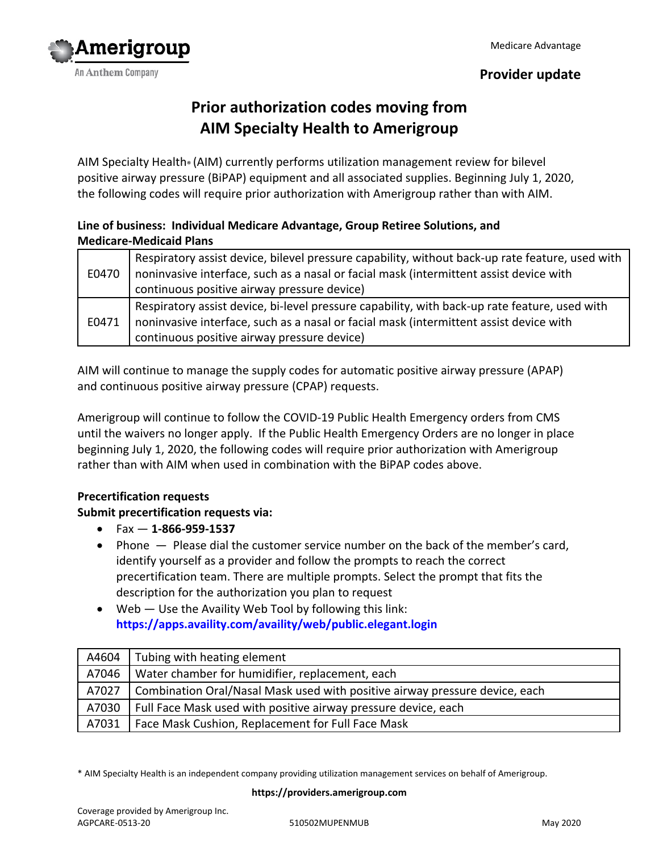

## **Provider update**

# **Prior authorization codes moving from AIM Specialty Health to Amerigroup**

AIM Specialty Health® (AIM) currently performs utilization management review for bilevel positive airway pressure (BiPAP) equipment and all associated supplies. Beginning July 1, 2020, the following codes will require prior authorization with Amerigroup rather than with AIM.

## **Line of business: Individual Medicare Advantage, Group Retiree Solutions, and Medicare-Medicaid Plans**

| E0470 | Respiratory assist device, bilevel pressure capability, without back-up rate feature, used with<br>noninvasive interface, such as a nasal or facial mask (intermittent assist device with |
|-------|-------------------------------------------------------------------------------------------------------------------------------------------------------------------------------------------|
|       | continuous positive airway pressure device)                                                                                                                                               |
| E0471 | Respiratory assist device, bi-level pressure capability, with back-up rate feature, used with                                                                                             |
|       | noninvasive interface, such as a nasal or facial mask (intermittent assist device with                                                                                                    |
|       | continuous positive airway pressure device)                                                                                                                                               |

AIM will continue to manage the supply codes for automatic positive airway pressure (APAP) and continuous positive airway pressure (CPAP) requests.

Amerigroup will continue to follow the COVID-19 Public Health Emergency orders from CMS until the waivers no longer apply. If the Public Health Emergency Orders are no longer in place beginning July 1, 2020, the following codes will require prior authorization with Amerigroup rather than with AIM when used in combination with the BiPAP codes above.

## **Precertification requests**

## **Submit precertification requests via:**

- Fax **1-866-959-1537**
- Phone  $-$  Please dial the customer service number on the back of the member's card, identify yourself as a provider and follow the prompts to reach the correct precertification team. There are multiple prompts. Select the prompt that fits the description for the authorization you plan to request
- Web Use the Availity Web Tool by following this link: **<https://apps.availity.com/availity/web/public.elegant.login>**

| A4604 | Tubing with heating element                                                 |
|-------|-----------------------------------------------------------------------------|
| A7046 | Water chamber for humidifier, replacement, each                             |
| A7027 | Combination Oral/Nasal Mask used with positive airway pressure device, each |
| A7030 | Full Face Mask used with positive airway pressure device, each              |
| A7031 | Face Mask Cushion, Replacement for Full Face Mask                           |

\* AIM Specialty Health is an independent company providing utilization management services on behalf of Amerigroup.

**https://providers.amerigroup.com**